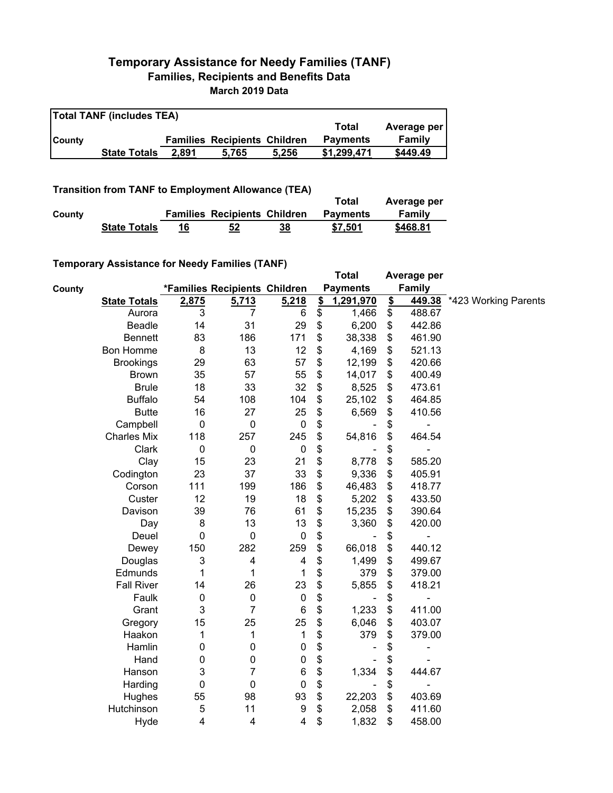## **Temporary Assistance for Needy Families (TANF) Families, Recipients and Benefits Data March 2019 Data**

| <b>Total TANF (includes TEA)</b> |                     |       |                                     |       |                 |             |  |  |
|----------------------------------|---------------------|-------|-------------------------------------|-------|-----------------|-------------|--|--|
|                                  |                     |       |                                     |       | Total           | Average per |  |  |
| <b>County</b>                    |                     |       | <b>Families Recipients Children</b> |       | <b>Payments</b> | Family      |  |  |
|                                  | <b>State Totals</b> | 2.891 | 5.765                               | 5.256 | \$1.299.471     | \$449.49    |  |  |

## **Transition from TANF to Employment Allowance (TEA)**

|        | <b>ITAIISIUVII ITVIII TAIVE LU EIIIPIVYIIIEIIL AIIUWAIICE (TEA)</b> | Total | Average per                         |    |                 |          |
|--------|---------------------------------------------------------------------|-------|-------------------------------------|----|-----------------|----------|
| County |                                                                     |       | <b>Families Recipients Children</b> |    | <b>Payments</b> | Family   |
|        | <b>State Totals</b>                                                 | 16    | 52                                  | 38 | \$7.501         | \$468.81 |

## **Temporary Assistance for Needy Families (TANF)**

|               | $\frac{1}{2}$ componently resolved to the recent resolution of $\frac{1}{2}$ |       |                               |                         |               | <b>Total</b>    |                         | Average per   |                             |
|---------------|------------------------------------------------------------------------------|-------|-------------------------------|-------------------------|---------------|-----------------|-------------------------|---------------|-----------------------------|
| <b>County</b> |                                                                              |       | *Families Recipients Children |                         |               | <b>Payments</b> |                         | <b>Family</b> |                             |
|               | <b>State Totals</b>                                                          | 2,875 | 5,713                         | 5,218                   | $\frac{2}{2}$ | 1,291,970       | $\overline{\mathbf{S}}$ |               | 449.38 *423 Working Parents |
|               | Aurora                                                                       | 3     | 7                             | 6                       | \$            | 1,466           | \$                      | 488.67        |                             |
|               | <b>Beadle</b>                                                                | 14    | 31                            | 29                      | \$            | 6,200           | \$                      | 442.86        |                             |
|               | <b>Bennett</b>                                                               | 83    | 186                           | 171                     | \$            | 38,338          | \$                      | 461.90        |                             |
|               | <b>Bon Homme</b>                                                             | 8     | 13                            | 12                      | \$            | 4,169           | \$                      | 521.13        |                             |
|               | <b>Brookings</b>                                                             | 29    | 63                            | 57                      | \$            | 12,199          | \$                      | 420.66        |                             |
|               | <b>Brown</b>                                                                 | 35    | 57                            | 55                      | \$            | 14,017          | \$                      | 400.49        |                             |
|               | <b>Brule</b>                                                                 | 18    | 33                            | 32                      | \$            | 8,525           | \$                      | 473.61        |                             |
|               | <b>Buffalo</b>                                                               | 54    | 108                           | 104                     | \$            | 25,102          | \$                      | 464.85        |                             |
|               | <b>Butte</b>                                                                 | 16    | 27                            | 25                      | \$            | 6,569           | \$                      | 410.56        |                             |
|               | Campbell                                                                     | 0     | $\pmb{0}$                     | $\pmb{0}$               | \$            |                 | \$                      |               |                             |
|               | <b>Charles Mix</b>                                                           | 118   | 257                           | 245                     | \$            | 54,816          | \$                      | 464.54        |                             |
|               | Clark                                                                        | 0     | $\pmb{0}$                     | $\pmb{0}$               | \$            |                 | \$                      |               |                             |
|               | Clay                                                                         | 15    | 23                            | 21                      | \$            | 8,778           | \$                      | 585.20        |                             |
|               | Codington                                                                    | 23    | 37                            | 33                      | \$            | 9,336           | \$                      | 405.91        |                             |
|               | Corson                                                                       | 111   | 199                           | 186                     | \$            | 46,483          | \$                      | 418.77        |                             |
|               | Custer                                                                       | 12    | 19                            | 18                      | \$            | 5,202           | \$                      | 433.50        |                             |
|               | Davison                                                                      | 39    | 76                            | 61                      | \$            | 15,235          | \$                      | 390.64        |                             |
|               | Day                                                                          | 8     | 13                            | 13                      | \$            | 3,360           | \$                      | 420.00        |                             |
|               | Deuel                                                                        | 0     | $\mathbf 0$                   | $\pmb{0}$               | \$            |                 | \$                      |               |                             |
|               | Dewey                                                                        | 150   | 282                           | 259                     | \$            | 66,018          | \$                      | 440.12        |                             |
|               | Douglas                                                                      | 3     | $\overline{\mathbf{4}}$       | 4                       | \$            | 1,499           | \$                      | 499.67        |                             |
|               | Edmunds                                                                      | 1     | 1                             | 1                       | \$            | 379             | \$                      | 379.00        |                             |
|               | <b>Fall River</b>                                                            | 14    | 26                            | 23                      | \$            | 5,855           | \$                      | 418.21        |                             |
|               | Faulk                                                                        | 0     | $\pmb{0}$                     | $\pmb{0}$               | \$            |                 | \$                      |               |                             |
|               | Grant                                                                        | 3     | 7                             | $\,6$                   | \$            | 1,233           | \$                      | 411.00        |                             |
|               | Gregory                                                                      | 15    | 25                            | 25                      | \$            | 6,046           | \$                      | 403.07        |                             |
|               | Haakon                                                                       | 1     | 1                             | 1                       | \$            | 379             | \$                      | 379.00        |                             |
|               | Hamlin                                                                       | 0     | $\mathbf 0$                   | $\pmb{0}$               | \$            |                 | \$                      |               |                             |
|               | Hand                                                                         | 0     | $\mathbf 0$                   | $\pmb{0}$               | \$            |                 | \$                      |               |                             |
|               | Hanson                                                                       | 3     | 7                             | $\,6$                   | \$            | 1,334           | \$                      | 444.67        |                             |
|               | Harding                                                                      | 0     | $\mathbf 0$                   | $\pmb{0}$               | \$            |                 | \$                      | ۰             |                             |
|               | Hughes                                                                       | 55    | 98                            | 93                      | \$            | 22,203          | \$                      | 403.69        |                             |
|               | Hutchinson                                                                   | 5     | 11                            | 9                       | \$            | 2,058           | \$                      | 411.60        |                             |
|               | Hyde                                                                         | 4     | $\overline{\mathbf{4}}$       | $\overline{\mathbf{4}}$ | \$            | 1,832           | \$                      | 458.00        |                             |